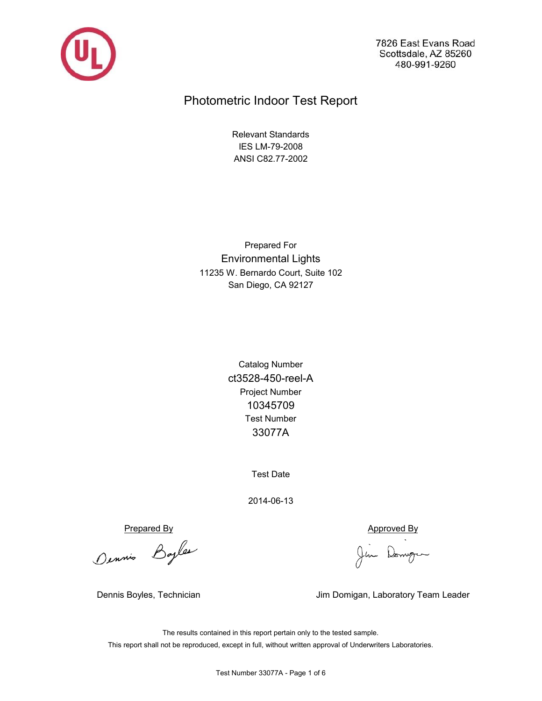

7826 East Evans Road Scottsdale, AZ 85260 480-991-9260

# Photometric Indoor Test Report

ANSI C82.77-2002 IES LM-79-2008 Relevant Standards

San Diego, CA 92127 11235 W. Bernardo Court, Suite 102 Environmental Lights Prepared For

> ct3528-450-reel-A 33077A Test Number Catalog Number Project Number 10345709

> > Test Date

2014-06-13

Prepared By<br>Ounnie Bayles Jim Domgen

Dennis Boyles, Technician Jim Domigan, Laboratory Team Leader

This report shall not be reproduced, except in full, without written approval of Underwriters Laboratories. The results contained in this report pertain only to the tested sample.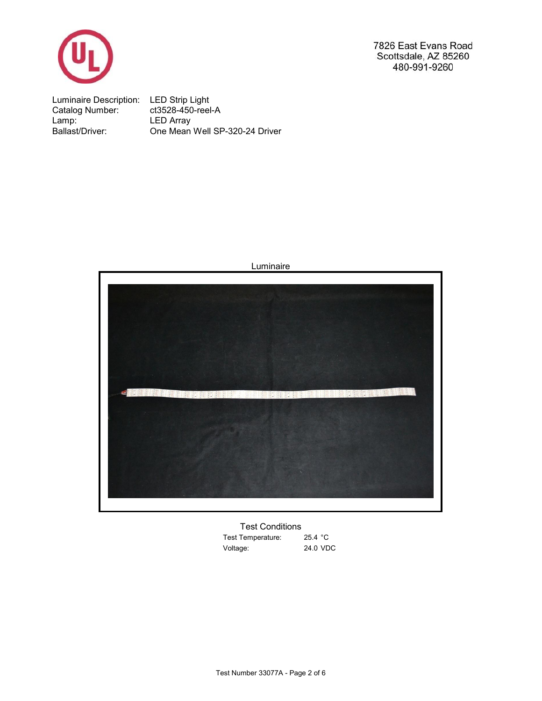

7826 East Evans Road Scottsdale, AZ 85260 480-991-9260

Luminaire Description: LED Strip Light Catalog Number: ct3528-450-reel-A Lamp: One Mean Well SP-320-24 Driver Ballast/Driver: LED Array



25.4 °C Test Temperature: 24.0 VDC Voltage: Test Conditions

Luminaire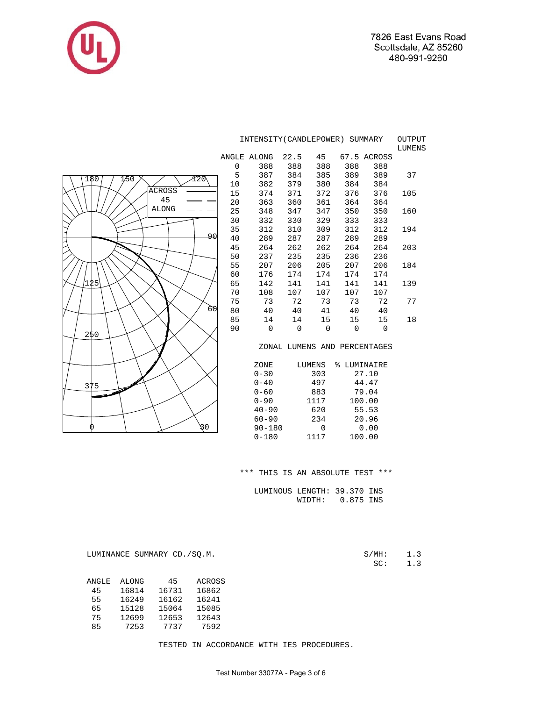

|                    | INTENSITY (CANDLEPOWER) SUMMARY<br>OUTPUT<br>LUMENS |             |             |                |             |                              |     |  |  |  |
|--------------------|-----------------------------------------------------|-------------|-------------|----------------|-------------|------------------------------|-----|--|--|--|
|                    |                                                     | ANGLE ALONG | 22.5        | 45             |             | 67.5 ACROSS                  |     |  |  |  |
|                    | $\mathbf 0$                                         | 388         | 388         | 388            | 388         | 388                          |     |  |  |  |
| 1/50<br>180<br>Y20 | 5                                                   | 387         | 384         | 385            | 389         | 389                          | 37  |  |  |  |
|                    | 10                                                  | 382         | 379         | 380            | 384         | 384                          |     |  |  |  |
| <b>ACROSS</b>      | 15                                                  | 374         | 371         | 372            | 376         | 376                          | 105 |  |  |  |
| 45                 | 20                                                  | 363         | 360         | 361            | 364         | 364                          |     |  |  |  |
| <b>ALONG</b>       | 25                                                  | 348         | 347         | 347            | 350         | 350                          | 160 |  |  |  |
|                    | 30                                                  | 332         | 330         | 329            | 333         | 333                          |     |  |  |  |
|                    | 35                                                  | 312         | 310         | 309            | 312         | 312                          | 194 |  |  |  |
| 90                 | 40                                                  | 289         | 287         | 287            | 289         | 289                          |     |  |  |  |
|                    | 45                                                  | 264         | 262         | 262            | 264         | 264                          | 203 |  |  |  |
|                    | 50                                                  | 237         | 235         | 235            | 236         | 236                          |     |  |  |  |
|                    | 55                                                  | 207         | 206         | 205            | 207         | 206                          | 184 |  |  |  |
|                    | 60                                                  | 176         | 174         | 174            | 174         | 174                          |     |  |  |  |
| '125               | 65                                                  | 142         | 141         | 141            | 141         | 141                          | 139 |  |  |  |
|                    | 70                                                  | 108         | 107         | 107            | 107         | 107                          |     |  |  |  |
|                    | 75                                                  | 73          | 72          | 73             | 73          | 72                           | 77  |  |  |  |
| 60                 | 80                                                  | 40          | 40          | 41             | 40          | 40                           |     |  |  |  |
|                    | 85                                                  | 14          | 14          | 15             | 15          | 15                           | 18  |  |  |  |
| 250                | 90                                                  | 0           | $\mathbf 0$ | $\overline{0}$ | $\mathbf 0$ | $\mathbf{0}$                 |     |  |  |  |
|                    |                                                     |             |             |                |             | ZONAL LUMENS AND PERCENTAGES |     |  |  |  |
|                    |                                                     | ZONE        |             | <b>LUMENS</b>  | % LUMINAIRE |                              |     |  |  |  |
|                    |                                                     | $0 - 30$    |             | 303            |             | 27.10                        |     |  |  |  |
|                    |                                                     | $0 - 40$    |             | 497            |             | 44.47                        |     |  |  |  |
| 375                |                                                     | $0 - 60$    |             | 883            |             | 79.04                        |     |  |  |  |
|                    |                                                     | $0 - 90$    |             | 1117           |             | 100.00                       |     |  |  |  |
|                    |                                                     | $40 - 90$   |             | 620            |             | 55.53                        |     |  |  |  |
|                    |                                                     | $60 - 90$   |             | 234            |             | 20.96                        |     |  |  |  |
| β0                 |                                                     | $90 - 180$  |             | $\mathbf 0$    |             | 0.00                         |     |  |  |  |

\*\*\* THIS IS AN ABSOLUTE TEST \*\*\*

0-180 1117 100.00

 LUMINOUS LENGTH: 39.370 INS WIDTH: 0.875 INS

S/MH: 1.3<br>SC: 1.3

LUMINANCE SUMMARY CD./SQ.M.

| ANGLE | <b>ALONG</b> | 45    | <b>ACROSS</b> |
|-------|--------------|-------|---------------|
| 45    | 16814        | 16731 | 16862         |
| 55    | 16249        | 16162 | 16241         |
| 65    | 15128        | 15064 | 15085         |
| 75    | 12699        | 12653 | 12643         |
| 85    | 7253         | 7737  | 7592          |

TESTED IN ACCORDANCE WITH IES PROCEDURES.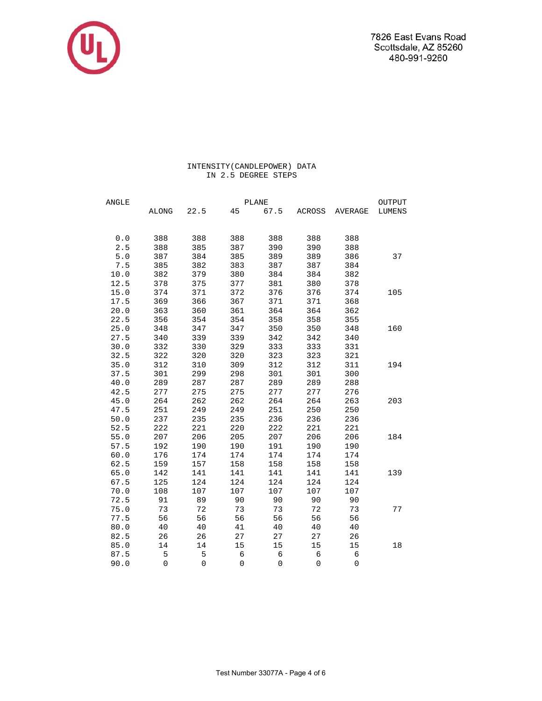

# INTENSITY(CANDLEPOWER) DATA IN 2.5 DEGREE STEPS

| ANGLE |             | <b>PLANE</b> |             |                     |                     |                |        |  |
|-------|-------------|--------------|-------------|---------------------|---------------------|----------------|--------|--|
|       | ALONG       | 22.5         | 45          | 67.5                | ACROSS              | AVERAGE        | LUMENS |  |
|       |             |              |             |                     |                     |                |        |  |
| 0.0   | 388         | 388          | 388         | 388                 | 388                 | 388            |        |  |
| 2.5   | 388         | 385          | 387         | 390                 | 390                 | 388            |        |  |
| 5.0   | 387         | 384          | 385         | 389                 | 389                 | 386            | 37     |  |
| 7.5   | 385         | 382          | 383         | 387                 | 387                 | 384            |        |  |
| 10.0  | 382         | 379          | 380         | 384                 | 384                 | 382            |        |  |
| 12.5  | 378         | 375          | 377         | 381                 | 380                 | 378            |        |  |
| 15.0  | 374         | 371          | 372         | 376                 | 376                 | 374            | 105    |  |
| 17.5  | 369         | 366          | 367         | 371                 | 371                 | 368            |        |  |
| 20.0  | 363         | 360          | 361         | 364                 | 364                 | 362            |        |  |
| 22.5  | 356         | 354          | 354         | 358                 | 358                 | 355            |        |  |
| 25.0  | 348         | 347          | 347         | 350                 | 350                 | 348            | 160    |  |
| 27.5  | 340         | 339          | 339         | 342                 | 342                 | 340            |        |  |
| 30.0  | 332         | 330          | 329         | 333                 | 333                 | 331            |        |  |
| 32.5  | 322         | 320          | 320         | 323                 | 323                 | 321            |        |  |
| 35.0  | 312         | 310          | 309         | 312                 | 312                 | 311            | 194    |  |
| 37.5  | 301         | 299          | 298         | 301                 | 301                 | 300            |        |  |
| 40.0  | 289         | 287          | 287         | 289                 | 289                 | 288            |        |  |
| 42.5  | 277         | 275          | 275         | 277                 | 277                 | 276            |        |  |
| 45.0  | 264         | 262          | 262         | 264                 | 264                 | 263            | 203    |  |
| 47.5  | 251         | 249          | 249         | 251                 | 250                 | 250            |        |  |
| 50.0  | 237         | 235          | 235         | 236                 | 236                 | 236            |        |  |
| 52.5  | 222         | 221          | 220         | 222                 | 221                 | 221            |        |  |
| 55.0  | 207         | 206          | 205         | 207                 | 206                 | 206            | 184    |  |
| 57.5  | 192         | 190          | 190         | 191                 | 190                 | 190            |        |  |
| 60.0  | 176         | 174          | 174         | 174                 | 174                 | 174            |        |  |
| 62.5  | 159         | 157          | 158         | 158                 | 158                 | 158            |        |  |
| 65.0  | 142         | 141          | 141         | 141                 | 141                 | 141            | 139    |  |
| 67.5  | 125         | 124          | 124         | 124                 | 124                 | 124            |        |  |
| 70.0  | 108         | 107          | 107         | 107                 | 107                 | 107            |        |  |
| 72.5  | 91          | 89           | 90          | 90                  | 90                  | 90             |        |  |
| 75.0  | 73          | 72           | 73          | 73                  | 72                  | 73             | 77     |  |
| 77.5  | 56          | 56           | 56          | 56                  | 56                  | 56             |        |  |
| 80.0  | 40          | 40           | 41          | 40                  | 40                  | 40             |        |  |
| 82.5  | 26          | 26           | 27          | 27                  | 27                  | 26             |        |  |
| 85.0  | 14          | 14           | 15          | 15                  | 15                  | 15             | 18     |  |
| 87.5  | $\mathsf S$ | 5            | $\epsilon$  | $\epsilon$          | $\epsilon$          | $\epsilon$     |        |  |
| 90.0  | $\mathsf 0$ | $\mathbf 0$  | $\mathbf 0$ | $\mathsf{O}\xspace$ | $\mathsf{O}\xspace$ | $\overline{0}$ |        |  |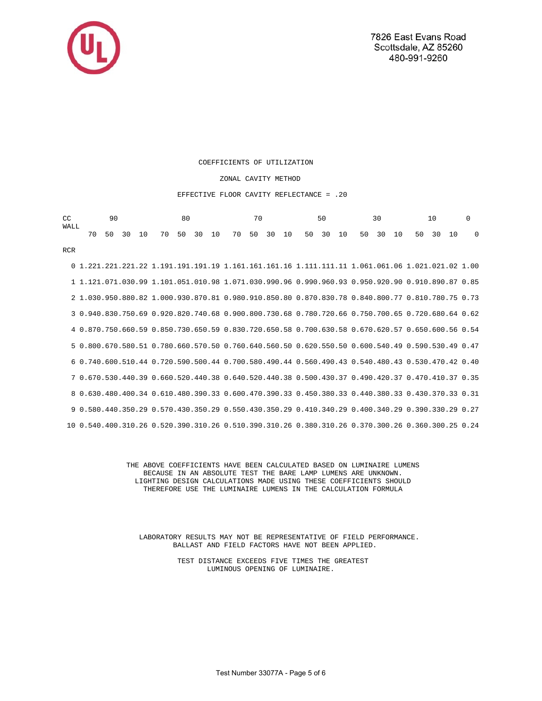

RCR

#### COEFFICIENTS OF UTILIZATION

### ZONAL CAVITY METHOD

#### EFFECTIVE FLOOR CAVITY REFLECTANCE = .20

| WALL | $CC$ 90 |  |  | 80 |  |  | 70 50 30 10 0 |  |  |  |  |  |  |  |  |  |  |  |  |  |
|------|---------|--|--|----|--|--|---------------|--|--|--|--|--|--|--|--|--|--|--|--|--|
|      |         |  |  |    |  |  |               |  |  |  |  |  |  |  |  |  |  |  |  |  |

 0 1.221.221.221.22 1.191.191.191.19 1.161.161.161.16 1.111.111.11 1.061.061.06 1.021.021.02 1.00 1 1.121.071.030.99 1.101.051.010.98 1.071.030.990.96 0.990.960.93 0.950.920.90 0.910.890.87 0.85 2 1.030.950.880.82 1.000.930.870.81 0.980.910.850.80 0.870.830.78 0.840.800.77 0.810.780.75 0.73 3 0.940.830.750.69 0.920.820.740.68 0.900.800.730.68 0.780.720.66 0.750.700.65 0.720.680.64 0.62 4 0.870.750.660.59 0.850.730.650.59 0.830.720.650.58 0.700.630.58 0.670.620.57 0.650.600.56 0.54 5 0.800.670.580.51 0.780.660.570.50 0.760.640.560.50 0.620.550.50 0.600.540.49 0.590.530.49 0.47 6 0.740.600.510.44 0.720.590.500.44 0.700.580.490.44 0.560.490.43 0.540.480.43 0.530.470.42 0.40 7 0.670.530.440.39 0.660.520.440.38 0.640.520.440.38 0.500.430.37 0.490.420.37 0.470.410.37 0.35 8 0.630.480.400.34 0.610.480.390.33 0.600.470.390.33 0.450.380.33 0.440.380.33 0.430.370.33 0.31 9 0.580.440.350.29 0.570.430.350.29 0.550.430.350.29 0.410.340.29 0.400.340.29 0.390.330.29 0.27 10 0.540.400.310.26 0.520.390.310.26 0.510.390.310.26 0.380.310.26 0.370.300.26 0.360.300.25 0.24

> THE ABOVE COEFFICIENTS HAVE BEEN CALCULATED BASED ON LUMINAIRE LUMENS BECAUSE IN AN ABSOLUTE TEST THE BARE LAMP LUMENS ARE UNKNOWN. LIGHTING DESIGN CALCULATIONS MADE USING THESE COEFFICIENTS SHOULD THEREFORE USE THE LUMINAIRE LUMENS IN THE CALCULATION FORMULA

 LABORATORY RESULTS MAY NOT BE REPRESENTATIVE OF FIELD PERFORMANCE. BALLAST AND FIELD FACTORS HAVE NOT BEEN APPLIED.

> TEST DISTANCE EXCEEDS FIVE TIMES THE GREATEST LUMINOUS OPENING OF LUMINAIRE